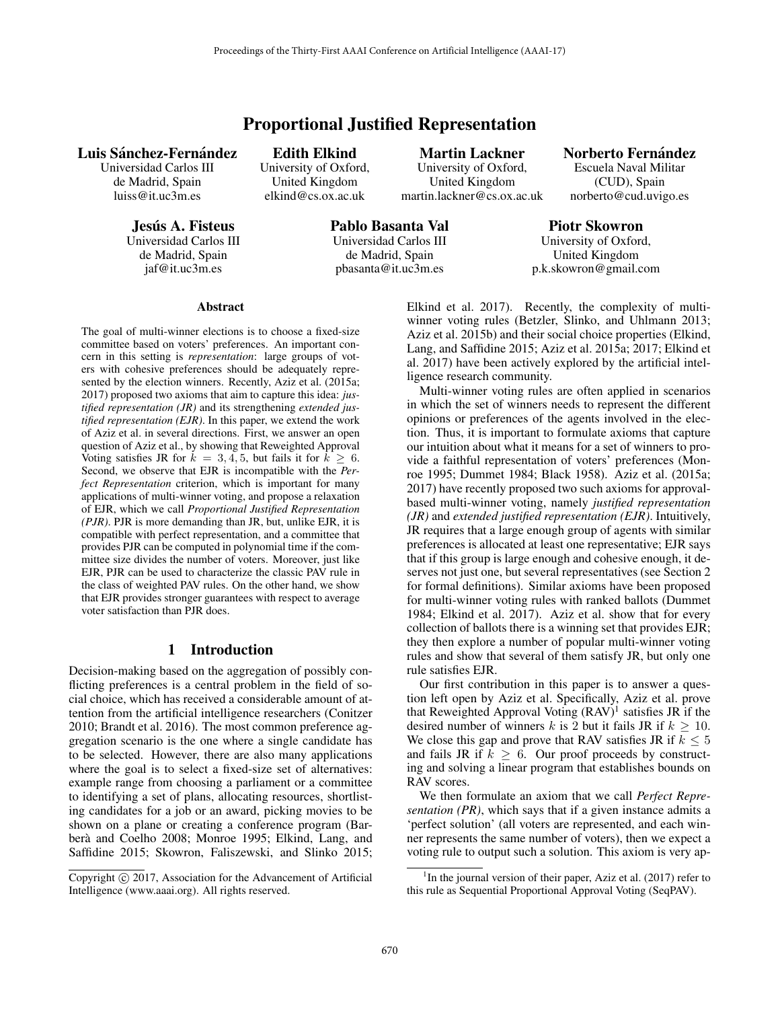# Proportional Justified Representation

# Luis Sánchez-Fernández

Universidad Carlos III de Madrid, Spain luiss@it.uc3m.es

> Jesús A. Fisteus Universidad Carlos III de Madrid, Spain jaf@it.uc3m.es

Edith Elkind University of Oxford, United Kingdom elkind@cs.ox.ac.uk

Martin Lackner University of Oxford, United Kingdom martin.lackner@cs.ox.ac.uk Norberto Fernández Escuela Naval Militar (CUD), Spain

norberto@cud.uvigo.es

Pablo Basanta Val Universidad Carlos III de Madrid, Spain pbasanta@it.uc3m.es

## Piotr Skowron

University of Oxford, United Kingdom p.k.skowron@gmail.com

### Abstract

The goal of multi-winner elections is to choose a fixed-size committee based on voters' preferences. An important concern in this setting is *representation*: large groups of voters with cohesive preferences should be adequately represented by the election winners. Recently, Aziz et al. (2015a; 2017) proposed two axioms that aim to capture this idea: *justified representation (JR)* and its strengthening *extended justified representation (EJR)*. In this paper, we extend the work of Aziz et al. in several directions. First, we answer an open question of Aziz et al., by showing that Reweighted Approval Voting satisfies JR for  $k = 3, 4, 5$ , but fails it for  $k \geq 6$ . Second, we observe that EJR is incompatible with the *Perfect Representation* criterion, which is important for many applications of multi-winner voting, and propose a relaxation of EJR, which we call *Proportional Justified Representation (PJR)*. PJR is more demanding than JR, but, unlike EJR, it is compatible with perfect representation, and a committee that provides PJR can be computed in polynomial time if the committee size divides the number of voters. Moreover, just like EJR, PJR can be used to characterize the classic PAV rule in the class of weighted PAV rules. On the other hand, we show that EJR provides stronger guarantees with respect to average voter satisfaction than PJR does.

# 1 Introduction

Decision-making based on the aggregation of possibly conflicting preferences is a central problem in the field of social choice, which has received a considerable amount of attention from the artificial intelligence researchers (Conitzer 2010; Brandt et al. 2016). The most common preference aggregation scenario is the one where a single candidate has to be selected. However, there are also many applications where the goal is to select a fixed-size set of alternatives: example range from choosing a parliament or a committee to identifying a set of plans, allocating resources, shortlisting candidates for a job or an award, picking movies to be shown on a plane or creating a conference program (Barberà and Coelho 2008; Monroe 1995; Elkind, Lang, and Saffidine 2015; Skowron, Faliszewski, and Slinko 2015;

Copyright  $\odot$  2017, Association for the Advancement of Artificial Intelligence (www.aaai.org). All rights reserved.

Elkind et al. 2017). Recently, the complexity of multiwinner voting rules (Betzler, Slinko, and Uhlmann 2013; Aziz et al. 2015b) and their social choice properties (Elkind, Lang, and Saffidine 2015; Aziz et al. 2015a; 2017; Elkind et al. 2017) have been actively explored by the artificial intelligence research community.

Multi-winner voting rules are often applied in scenarios in which the set of winners needs to represent the different opinions or preferences of the agents involved in the election. Thus, it is important to formulate axioms that capture our intuition about what it means for a set of winners to provide a faithful representation of voters' preferences (Monroe 1995; Dummet 1984; Black 1958). Aziz et al. (2015a; 2017) have recently proposed two such axioms for approvalbased multi-winner voting, namely *justified representation (JR)* and *extended justified representation (EJR)*. Intuitively, JR requires that a large enough group of agents with similar preferences is allocated at least one representative; EJR says that if this group is large enough and cohesive enough, it deserves not just one, but several representatives (see Section 2 for formal definitions). Similar axioms have been proposed for multi-winner voting rules with ranked ballots (Dummet 1984; Elkind et al. 2017). Aziz et al. show that for every collection of ballots there is a winning set that provides EJR; they then explore a number of popular multi-winner voting rules and show that several of them satisfy JR, but only one rule satisfies EJR.

Our first contribution in this paper is to answer a question left open by Aziz et al. Specifically, Aziz et al. prove that Reweighted Approval Voting  $(RAV)^1$  satisfies JR if the desired number of winners k is 2 but it fails JR if  $k \ge 10$ . We close this gap and prove that RAV satisfies JR if  $k \leq 5$ and fails JR if  $k \geq 6$ . Our proof proceeds by constructing and solving a linear program that establishes bounds on RAV scores.

We then formulate an axiom that we call *Perfect Representation (PR)*, which says that if a given instance admits a 'perfect solution' (all voters are represented, and each winner represents the same number of voters), then we expect a voting rule to output such a solution. This axiom is very ap-

<sup>&</sup>lt;sup>1</sup>In the journal version of their paper, Aziz et al. (2017) refer to this rule as Sequential Proportional Approval Voting (SeqPAV).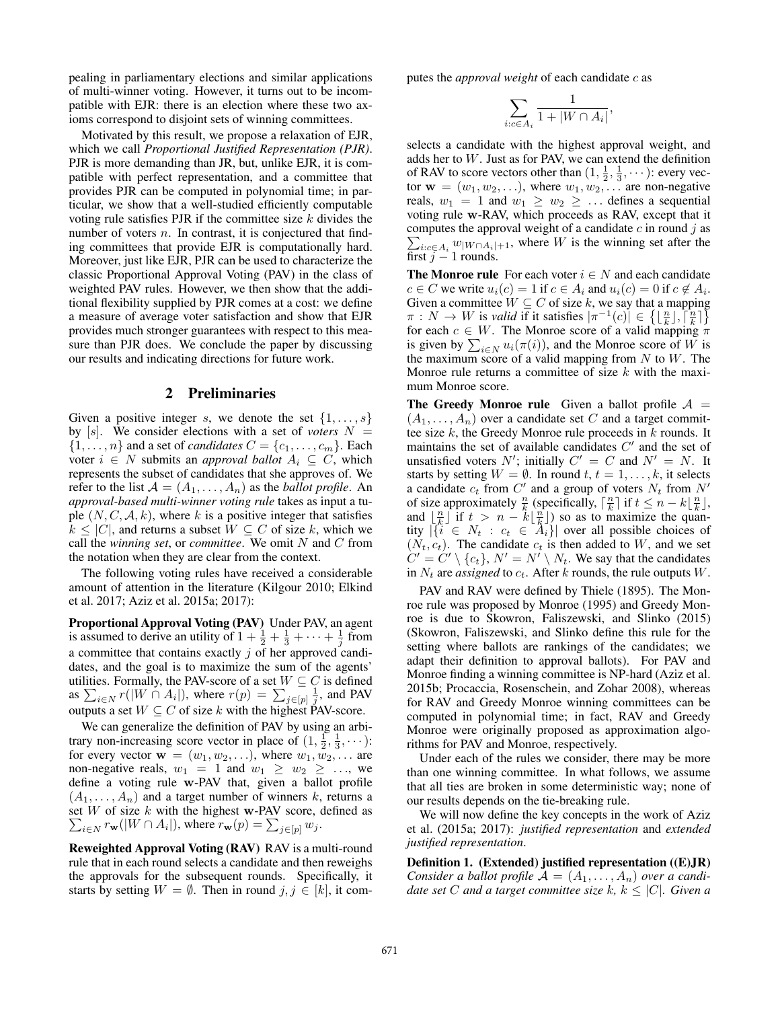pealing in parliamentary elections and similar applications of multi-winner voting. However, it turns out to be incompatible with EJR: there is an election where these two axioms correspond to disjoint sets of winning committees.

Motivated by this result, we propose a relaxation of EJR, which we call *Proportional Justified Representation (PJR)*. PJR is more demanding than JR, but, unlike EJR, it is compatible with perfect representation, and a committee that provides PJR can be computed in polynomial time; in particular, we show that a well-studied efficiently computable voting rule satisfies PJR if the committee size  $k$  divides the number of voters  $n$ . In contrast, it is conjectured that finding committees that provide EJR is computationally hard. Moreover, just like EJR, PJR can be used to characterize the classic Proportional Approval Voting (PAV) in the class of weighted PAV rules. However, we then show that the additional flexibility supplied by PJR comes at a cost: we define a measure of average voter satisfaction and show that EJR provides much stronger guarantees with respect to this measure than PJR does. We conclude the paper by discussing our results and indicating directions for future work.

### 2 Preliminaries

Given a positive integer s, we denote the set  $\{1,\ldots,s\}$ by  $[s]$ . We consider elections with a set of *voters*  $N =$  $\{1,\ldots,n\}$  and a set of *candidates*  $C = \{c_1,\ldots,c_m\}$ . Each voter  $i \in N$  submits an *approval ballot*  $A_i \subseteq C$ , which represents the subset of candidates that she approves of. We refer to the list  $A = (A_1, \ldots, A_n)$  as the *ballot profile*. An *approval-based multi-winner voting rule* takes as input a tuple  $(N, C, \mathcal{A}, k)$ , where k is a positive integer that satisfies  $k \leq |C|$ , and returns a subset  $W \subseteq C$  of size k, which we call the *winning set*, or *committee*. We omit N and C from the notation when they are clear from the context.

The following voting rules have received a considerable amount of attention in the literature (Kilgour 2010; Elkind et al. 2017; Aziz et al. 2015a; 2017):

Proportional Approval Voting (PAV) Under PAV, an agent is assumed to derive an utility of  $1 + \frac{1}{2} + \frac{1}{3} + \cdots + \frac{1}{j}$  from a committee that contains exactly  $j$  of her approved candidates, and the goal is to maximize the sum of the agents' utilities. Formally, the PAV-score of a set  $W \subseteq C$  is defined as  $\sum_{i\in N} r(|W \cap A_i|)$ , where  $r(p) = \sum_{j\in [p]} \frac{1}{j}$ , and PAV outputs a set  $W \subseteq C$  of size k with the highest PAV-score.

We can generalize the definition of PAV by using an arbitrary non-increasing score vector in place of  $(1, \frac{1}{2}, \frac{1}{3}, \cdots)$ : for every vector  $\mathbf{w} = (w_1, w_2, \ldots)$ , where  $w_1, w_2, \ldots$  are non-negative reals,  $w_1 = 1$  and  $w_1 \geq w_2 \geq \ldots$ , we define a voting rule **w**-PAV that, given a ballot profile  $(A_1, \ldots, A_n)$  and a target number of winners k, returns a set  $W$  of size  $k$  with the highest **w**-PAV score, defined as  $\sum_{i \in N} r_{\mathbf{w}}(|W \cap A_i|)$ , where  $r_{\mathbf{w}}(p) = \sum_{j \in [p]} w_j$ .

Reweighted Approval Voting (RAV) RAV is a multi-round rule that in each round selects a candidate and then reweighs the approvals for the subsequent rounds. Specifically, it starts by setting  $W = \emptyset$ . Then in round  $j, j \in [k]$ , it computes the *approval weight* of each candidate c as

$$
\sum_{i:c\in A_i} \frac{1}{1+|W\cap A_i|},
$$

selects a candidate with the highest approval weight, and adds her to W. Just as for PAV, we can extend the definition of RAV to score vectors other than  $(1, \frac{1}{2}, \frac{1}{3}, \cdots)$ : every vector  $\mathbf{w} = (w_1, w_2, \ldots)$ , where  $w_1, w_2, \ldots$  are non-negative reals,  $w_1 = 1$  and  $w_1 \geq w_2 \geq \ldots$  defines a sequential voting rule **w**-RAV, which proceeds as RAV, except that it computes the approval weight of a candidate  $c$  in round  $j$  as  $\sum_{i:c \in A_i} w_{\vert W \cap A_i \vert +1}$ , where W is the winning set after the first  $j - 1$  rounds.

**The Monroe rule** For each voter  $i \in N$  and each candidate  $c \in C$  we write  $u_i(c)=1$  if  $c \in A_i$  and  $u_i(c)=0$  if  $c \notin A_i$ . Given a committee  $W \subseteq C$  of size k, we say that a mapping  $\pi: N \to W$  is *valid* if it satisfies  $|\pi^{-1}(c)| \in \{ \lfloor \frac{n}{k} \rfloor, \lceil \frac{n}{k} \rceil \}$ for each  $c \in W$ . The Monroe score of a valid mapping  $\pi$ is given by  $\sum_{i \in N} u_i(\pi(i))$ , and the Monroe score of W is the maximum score of a valid mapping from  $N$  to  $W$ . The Monroe rule returns a committee of size  $k$  with the maximum Monroe score.

The Greedy Monroe rule Given a ballot profile  $A =$  $(A_1, \ldots, A_n)$  over a candidate set C and a target committee size  $k$ , the Greedy Monroe rule proceeds in  $k$  rounds. It maintains the set of available candidates  $C'$  and the set of unsatisfied voters  $N'$ ; initially  $C' = C$  and  $N' = N$ . It starts by setting  $W = \emptyset$ . In round  $t, t = 1, \ldots, k$ , it selects a candidate  $c_t$  from  $C'$  and a group of voters  $N_t$  from  $N'$ of size approximately  $\frac{n}{k}$  (specifically,  $\lceil \frac{n}{k} \rceil$  if  $t \leq n - k \lfloor \frac{n}{k} \rfloor$ , and  $\lfloor \frac{n}{k} \rfloor$  if  $t > n - k \lfloor \frac{n}{k} \rfloor$  so as to maximize the quantity  $|\{i \in N_t : c_t \in A_i\}|$  over all possible choices of  $(N_t, c_t)$ . The candidate  $c_t$  is then added to W, and we set  $C' = C' \setminus \{c_t\}, N' = N' \setminus N_t$ . We say that the candidates in  $N_t$  are *assigned* to  $c_t$ . After k rounds, the rule outputs W.

PAV and RAV were defined by Thiele (1895). The Monroe rule was proposed by Monroe (1995) and Greedy Monroe is due to Skowron, Faliszewski, and Slinko (2015) (Skowron, Faliszewski, and Slinko define this rule for the setting where ballots are rankings of the candidates; we adapt their definition to approval ballots). For PAV and Monroe finding a winning committee is NP-hard (Aziz et al. 2015b; Procaccia, Rosenschein, and Zohar 2008), whereas for RAV and Greedy Monroe winning committees can be computed in polynomial time; in fact, RAV and Greedy Monroe were originally proposed as approximation algorithms for PAV and Monroe, respectively.

Under each of the rules we consider, there may be more than one winning committee. In what follows, we assume that all ties are broken in some deterministic way; none of our results depends on the tie-breaking rule.

We will now define the key concepts in the work of Aziz et al. (2015a; 2017): *justified representation* and *extended justified representation*.

Definition 1. (Extended) justified representation ((E)JR) *Consider a ballot profile*  $A = (A_1, \ldots, A_n)$  *over a candidate set* C *and a target committee size*  $k, k \leq |C|$ *. Given a*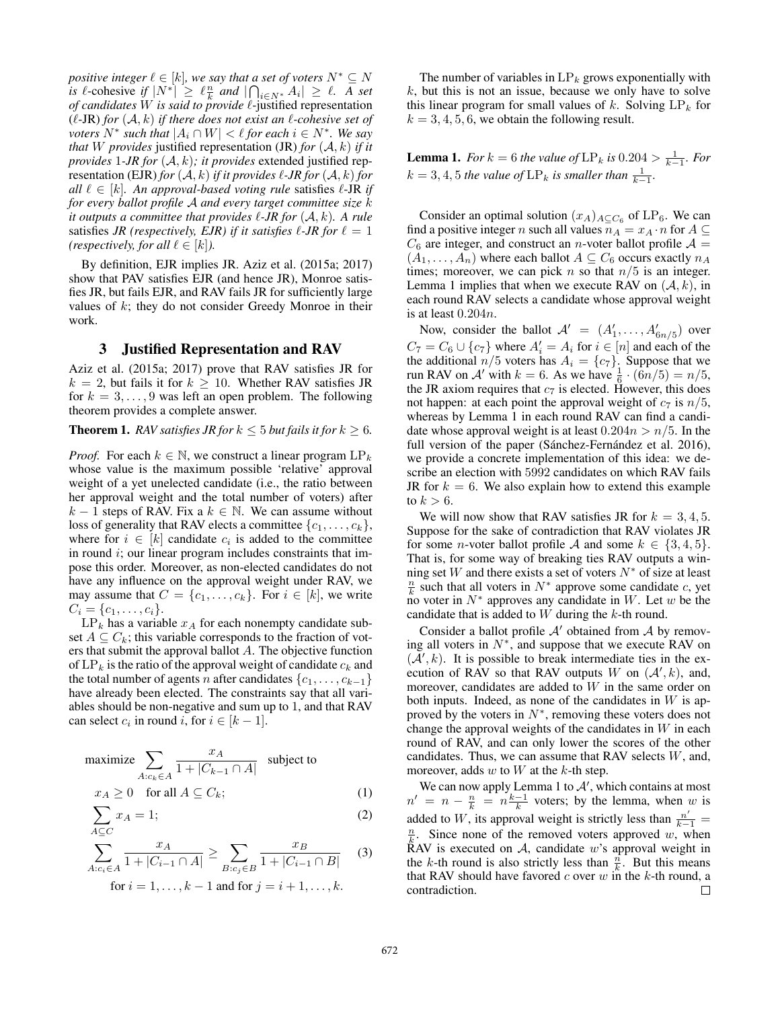*positive integer*  $\ell \in [k]$ *, we say that a set of voters*  $N^* \subseteq N$ *is*  $\ell$ -cohesive *if*  $|N^*| \geq \ell \frac{n}{k}$  *and*  $|\bigcap_{i \in N^*} A_i| \geq \ell$ . A set of candidates W is said to provide  $\ell$ -justified representation  $(\ell$ -JR) *for*  $(A, k)$  *if there does not exist an*  $\ell$ *-cohesive set of voters*  $N^*$  *such that*  $|A_i \cap W| < \ell$  *for each*  $i \in N^*$ *. We say that* W *provides* justified representation (JR) *for*  $(A, k)$  *if it provides* <sup>1</sup>*-JR for* (A, k)*; it provides* extended justified representation (EJR) *for*  $(A, k)$  *if it provides*  $\ell$ -*JR for*  $(A, k)$  *for all*  $\ell \in [k]$ *. An approval-based voting rule* satisfies  $\ell$ -JR *if for every ballot profile* <sup>A</sup> *and every target committee size* <sup>k</sup> *it outputs a committee that provides*  $\ell$ -*JR for*  $(A, k)$ *. A rule* satisfies *JR (respectively, EJR) if it satisfies*  $\ell$ -*JR for*  $\ell = 1$ *(respectively, for all*  $\ell \in [k]$ *).* 

By definition, EJR implies JR. Aziz et al. (2015a; 2017) show that PAV satisfies EJR (and hence JR), Monroe satisfies JR, but fails EJR, and RAV fails JR for sufficiently large values of  $k$ ; they do not consider Greedy Monroe in their work.

### 3 Justified Representation and RAV

Aziz et al. (2015a; 2017) prove that RAV satisfies JR for  $k = 2$ , but fails it for  $k \ge 10$ . Whether RAV satisfies JR for  $k = 3, \ldots, 9$  was left an open problem. The following theorem provides a complete answer.

**Theorem 1.** *RAV satisfies JR for*  $k \leq 5$  *but fails it for*  $k \geq 6$ *.* 

*Proof.* For each  $k \in \mathbb{N}$ , we construct a linear program  $LP_k$ whose value is the maximum possible 'relative' approval weight of a yet unelected candidate (i.e., the ratio between her approval weight and the total number of voters) after  $k − 1$  steps of RAV. Fix a  $k ∈ ℕ$ . We can assume without loss of generality that RAV elects a committee  $\{c_1,\ldots,c_k\}$ , where for  $i \in [k]$  candidate  $c_i$  is added to the committee in round  $i$ ; our linear program includes constraints that impose this order. Moreover, as non-elected candidates do not have any influence on the approval weight under RAV, we may assume that  $C = \{c_1, \ldots, c_k\}$ . For  $i \in [k]$ , we write  $C_i = \{c_1, \ldots, c_i\}.$ 

 $LP_k$  has a variable  $x_A$  for each nonempty candidate subset  $A \subseteq C_k$ ; this variable corresponds to the fraction of voters that submit the approval ballot A. The objective function of  $LP_k$  is the ratio of the approval weight of candidate  $c_k$  and the total number of agents *n* after candidates  $\{c_1, \ldots, c_{k-1}\}$ have already been elected. The constraints say that all variables should be non-negative and sum up to 1, and that RAV can select  $c_i$  in round i, for  $i \in [k-1]$ .

$$
\begin{aligned}\n\text{maximize} & \sum_{A:c_k \in A} \frac{x_A}{1 + |C_{k-1} \cap A|} \quad \text{subject to} \\
x_A \ge 0 \quad \text{for all } A \subseteq C_k; \tag{1}\n\end{aligned}
$$

$$
\sum_{A \subseteq C} x_A = 1; \tag{2}
$$

$$
\sum_{A:c_i \in A}^{-} \frac{x_A}{1 + |C_{i-1} \cap A|} \ge \sum_{B:c_j \in B} \frac{x_B}{1 + |C_{i-1} \cap B|} \tag{3}
$$

for 
$$
i = 1, ..., k - 1
$$
 and for  $j = i + 1, ..., k$ .

The number of variables in  $LP_k$  grows exponentially with  $k$ , but this is not an issue, because we only have to solve this linear program for small values of  $k$ . Solving  $LP_k$  for  $k = 3, 4, 5, 6$ , we obtain the following result.

**Lemma 1.** *For*  $k = 6$  *the value of*  $\text{LP}_k$  *is* 0.204 >  $\frac{1}{k-1}$ *. For*  $k = 3, 4, 5$  *the value of*  $\text{LP}_k$  *is smaller than*  $\frac{1}{k-1}$ *.* 

Consider an optimal solution  $(x_A)_{A \subseteq C_6}$  of LP<sub>6</sub>. We can find a positive integer n such all values  $n_A = x_A \cdot n$  for  $A \subseteq$  $C_6$  are integer, and construct an *n*-voter ballot profile  $A =$  $(A_1, \ldots, A_n)$  where each ballot  $A \subseteq C_6$  occurs exactly  $n_A$ times; moreover, we can pick n so that  $n/5$  is an integer. Lemma 1 implies that when we execute RAV on  $(A, k)$ , in each round RAV selects a candidate whose approval weight is at least 0.204n.

Now, consider the ballot  $A' = (A'_1, \ldots, A'_{6n/5})$  over  $C_7 = C_6 \cup \{c_7\}$  where  $A'_i = A_i$  for  $i \in [n]$  and each of the the additional  $n/5$  voters has  $A_i = \{c_7\}$ . Suppose that we run RAV on A' with  $k = 6$ . As we have  $\frac{1}{6} \cdot (6n/5) = n/5$ , the JR axiom requires that  $c_7$  is elected. However, this does not happen: at each point the approval weight of  $c_7$  is  $n/5$ , whereas by Lemma 1 in each round RAV can find a candidate whose approval weight is at least  $0.204n > n/5$ . In the full version of the paper (Sánchez-Fernández et al. 2016), we provide a concrete implementation of this idea: we describe an election with 5992 candidates on which RAV fails JR for  $k = 6$ . We also explain how to extend this example to  $k > 6$ .

We will now show that RAV satisfies JR for  $k = 3, 4, 5$ . Suppose for the sake of contradiction that RAV violates JR for some *n*-voter ballot profile A and some  $k \in \{3, 4, 5\}$ . That is, for some way of breaking ties RAV outputs a winning set W and there exists a set of voters  $N^*$  of size at least  $\frac{n}{k}$  such that all voters in  $N^*$  approve some candidate c, yet no voter in  $N^*$  approves any candidate in W. Let w be the candidate that is added to  $W$  during the  $k$ -th round.

Consider a ballot profile  $A'$  obtained from  $A$  by removing all voters in  $N^*$ , and suppose that we execute RAV on  $(\mathcal{A}', k)$ . It is possible to break intermediate ties in the execution of RAV so that RAV outputs  $W$  on  $(A', k)$ , and, moreover, candidates are added to W in the same order on both inputs. Indeed, as none of the candidates in  $W$  is approved by the voters in  $N^*$ , removing these voters does not change the approval weights of the candidates in  $W$  in each round of RAV, and can only lower the scores of the other candidates. Thus, we can assume that RAV selects  $W$ , and, moreover, adds  $w$  to  $W$  at the  $k$ -th step.

We can now apply Lemma 1 to  $A'$ , which contains at most  $n' = n - \frac{n}{k} = n \frac{k-1}{k}$  voters; by the lemma, when w is added to W, its approval weight is strictly less than  $\frac{n'}{k-1}$  =  $\frac{n}{k}$  Since none of the removed voters approved  $w$ , when  $\frac{n}{k}$ . Since none of the removed voters approved w, when RAV is executed on  $A$ , candidate w's approval weight in the k-th round is also strictly less than  $\frac{n}{k}$ . But this means that RAV should have favored  $c$  over  $w$  in the  $k$ -th round, a contradiction.  $\Box$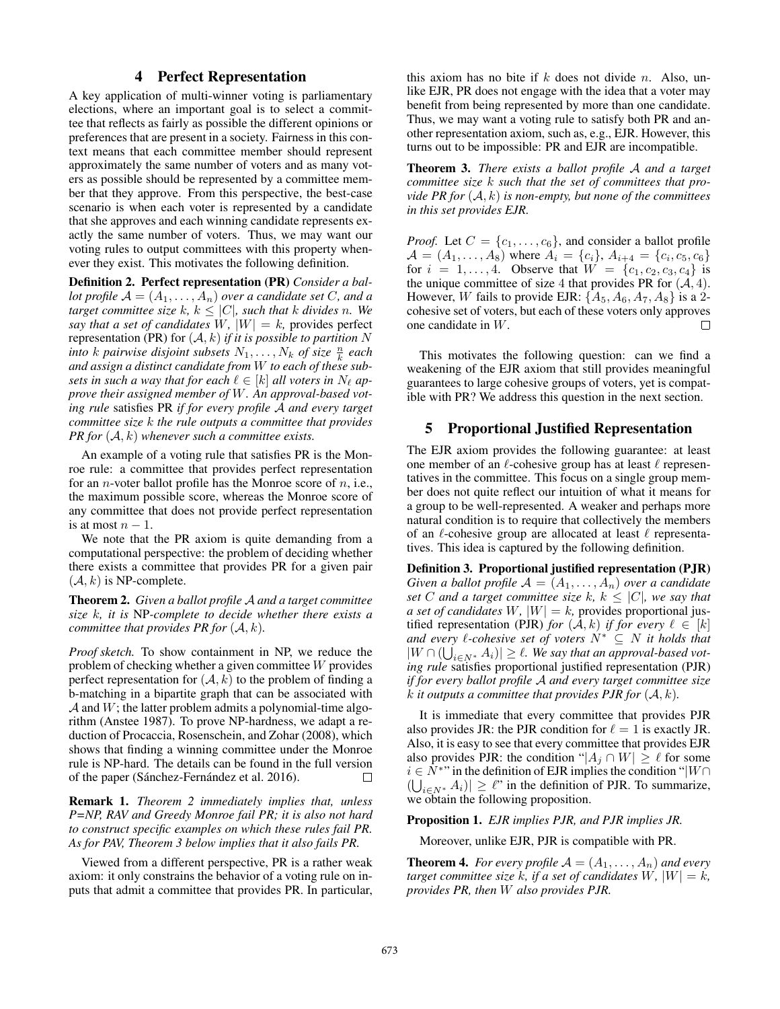# 4 Perfect Representation

A key application of multi-winner voting is parliamentary elections, where an important goal is to select a committee that reflects as fairly as possible the different opinions or preferences that are present in a society. Fairness in this context means that each committee member should represent approximately the same number of voters and as many voters as possible should be represented by a committee member that they approve. From this perspective, the best-case scenario is when each voter is represented by a candidate that she approves and each winning candidate represents exactly the same number of voters. Thus, we may want our voting rules to output committees with this property whenever they exist. This motivates the following definition.

Definition 2. Perfect representation (PR) *Consider a ballot profile*  $A = (A_1, \ldots, A_n)$  *over a candidate set C*, *and a target committee size* k,  $k \leq |C|$ , such that k divides n. We *say that a set of candidates*  $W$ *,*  $|W| = k$ *, provides perfect* representation (PR) for  $(A, k)$  *if it is possible to partition* N *into k pairwise* disjoint subsets  $N_1, \ldots, N_k$  of size  $\frac{n}{k}$  each *and assign a distinct candidate from* W *to each of these subsets in such a way that for each*  $\ell \in [k]$  *all voters in*  $N_{\ell}$  *approve their assigned member of* W*. An approval-based voting rule* satisfies PR *if for every profile* A *and every target committee size* k *the rule outputs a committee that provides PR for* (A, k) *whenever such a committee exists.*

An example of a voting rule that satisfies PR is the Monroe rule: a committee that provides perfect representation for an *n*-voter ballot profile has the Monroe score of  $n$ , i.e., the maximum possible score, whereas the Monroe score of any committee that does not provide perfect representation is at most  $n - 1$ .

We note that the PR axiom is quite demanding from a computational perspective: the problem of deciding whether there exists a committee that provides PR for a given pair  $(A, k)$  is NP-complete.

Theorem 2. *Given a ballot profile* A *and a target committee size* k*, it is* NP*-complete to decide whether there exists a committee that provides PR for*  $(A, k)$ *.* 

*Proof sketch.* To show containment in NP, we reduce the problem of checking whether a given committee W provides perfect representation for  $(A, k)$  to the problem of finding a b-matching in a bipartite graph that can be associated with  $A$  and  $W$ ; the latter problem admits a polynomial-time algorithm (Anstee 1987). To prove NP-hardness, we adapt a reduction of Procaccia, Rosenschein, and Zohar (2008), which shows that finding a winning committee under the Monroe rule is NP-hard. The details can be found in the full version of the paper (Sánchez-Fernández et al. 2016).  $\Box$ 

Remark 1. *Theorem 2 immediately implies that, unless P=NP, RAV and Greedy Monroe fail PR; it is also not hard to construct specific examples on which these rules fail PR. As for PAV, Theorem 3 below implies that it also fails PR.*

Viewed from a different perspective, PR is a rather weak axiom: it only constrains the behavior of a voting rule on inputs that admit a committee that provides PR. In particular,

this axiom has no bite if  $k$  does not divide n. Also, unlike EJR, PR does not engage with the idea that a voter may benefit from being represented by more than one candidate. Thus, we may want a voting rule to satisfy both PR and another representation axiom, such as, e.g., EJR. However, this turns out to be impossible: PR and EJR are incompatible.

Theorem 3. *There exists a ballot profile* A *and a target committee size* k *such that the set of committees that provide PR for* (A, k) *is non-empty, but none of the committees in this set provides EJR.*

*Proof.* Let  $C = \{c_1, \ldots, c_6\}$ , and consider a ballot profile  $A = (A_1, \ldots, A_8)$  where  $A_i = \{c_i\}, A_{i+4} = \{c_i, c_5, c_6\}$ for  $i = 1, ..., 4$ . Observe that  $W = \{c_1, c_2, c_3, c_4\}$  is the unique committee of size 4 that provides PR for  $(A, 4)$ . However, W fails to provide EJR:  $\{A_5, A_6, A_7, A_8\}$  is a 2cohesive set of voters, but each of these voters only approves one candidate in W.  $\Box$ 

This motivates the following question: can we find a weakening of the EJR axiom that still provides meaningful guarantees to large cohesive groups of voters, yet is compatible with PR? We address this question in the next section.

## 5 Proportional Justified Representation

The EJR axiom provides the following guarantee: at least one member of an  $\ell$ -cohesive group has at least  $\ell$  representatives in the committee. This focus on a single group member does not quite reflect our intuition of what it means for a group to be well-represented. A weaker and perhaps more natural condition is to require that collectively the members of an  $\ell$ -cohesive group are allocated at least  $\ell$  representatives. This idea is captured by the following definition.

Definition 3. Proportional justified representation (PJR) *Given a ballot profile*  $A = (A_1, \ldots, A_n)$  *over a candidate set* C and a target committee size k,  $k \leq |C|$ , we say that *a set of candidates*  $W$ *,*  $|W| = k$ *,* provides proportional justified representation (PJR) *for*  $(A, k)$  *if for every*  $\ell \in [k]$ *and every*  $ℓ$ -cohesive set of voters  $N^* ⊆ N$  *it holds that*  $|W \cap (\bigcup_{i \in N^*} A_i)| \ge \ell$ . We say that an approval-based vot*ing rule* satisfies proportional justified representation (PJR) *if for every ballot profile* A *and every target committee size*  $k$  *it outputs a committee that provides PJR for*  $(A, k)$ *.* 

It is immediate that every committee that provides PJR also provides JR: the PJR condition for  $\ell = 1$  is exactly JR. Also, it is easy to see that every committee that provides EJR also provides PJR: the condition " $|A_i \cap W| \geq \ell$  for some  $i \in N^*$ " in the definition of EJR implies the condition " $|W \cap$  $(\bigcup_{i\in N^*} A_i)| \geq \ell$ " in the definition of PJR. To summarize, we obtain the following proposition.

### Proposition 1. *EJR implies PJR, and PJR implies JR.*

Moreover, unlike EJR, PJR is compatible with PR.

**Theorem 4.** *For every profile*  $A = (A_1, \ldots, A_n)$  *and every target committee size* k, if a set of candidates  $W$ ,  $|W| = k$ , *provides PR, then* W *also provides PJR.*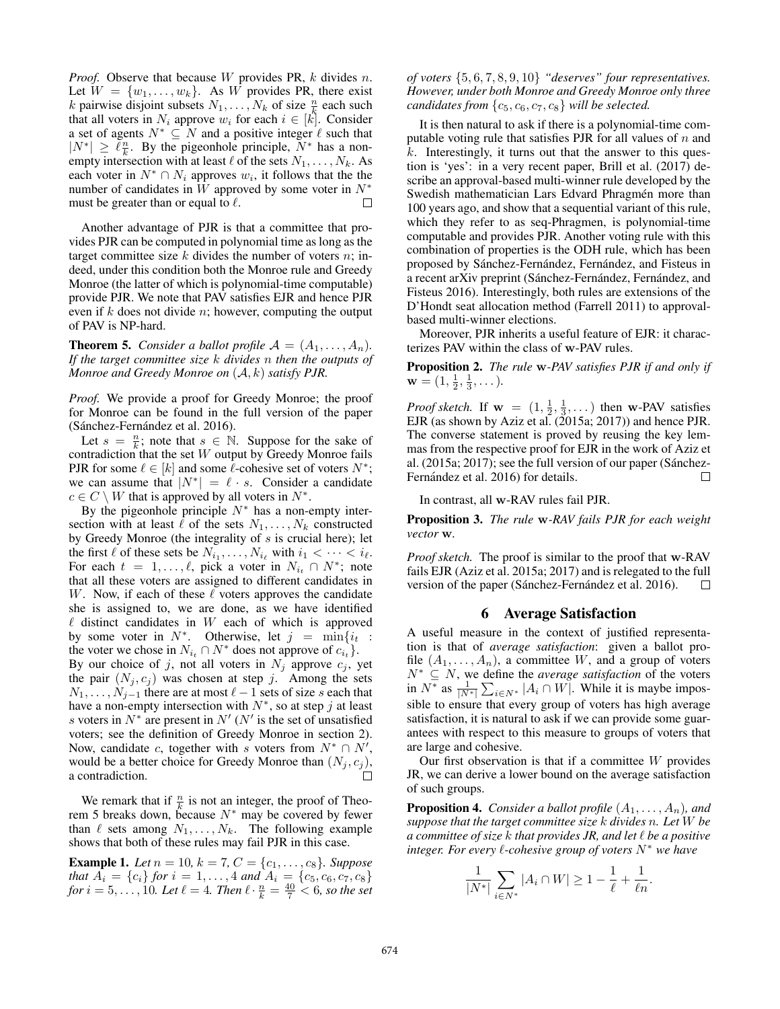*Proof.* Observe that because W provides PR, k divides n. Let  $W = \{w_1, \ldots, w_k\}$ . As W provides PR, there exist k pairwise disjoint subsets  $N_1, \ldots, N_k$  of size  $\frac{n}{k}$  each such that all voters in  $N_i$  approve  $w_i$  for each  $i \in [k]$ . Consider a set of agents  $N^* \subseteq N$  and a positive integer  $\ell$  such that  $|N^*| \geq \ell \frac{n}{k}$ . By the pigeonhole principle,  $N^*$  has a nonempty intersection with at least  $\ell$  of the sets  $N_1, \ldots, N_k$ . As each voter in  $N^* \cap N_i$  approves  $w_i$ , it follows that the the number of candidates in W approved by some voter in  $N^*$ must be greater than or equal to  $\ell$ . П

Another advantage of PJR is that a committee that provides PJR can be computed in polynomial time as long as the target committee size  $k$  divides the number of voters  $n$ ; indeed, under this condition both the Monroe rule and Greedy Monroe (the latter of which is polynomial-time computable) provide PJR. We note that PAV satisfies EJR and hence PJR even if  $k$  does not divide  $n$ ; however, computing the output of PAV is NP-hard.

**Theorem 5.** *Consider a ballot profile*  $A = (A_1, \ldots, A_n)$ *. If the target committee size* k *divides* n *then the outputs of Monroe and Greedy Monroe on* (A, k) *satisfy PJR.*

*Proof.* We provide a proof for Greedy Monroe; the proof for Monroe can be found in the full version of the paper (Sánchez-Fernández et al. 2016).

Let  $s = \frac{n}{k}$ ; note that  $s \in \mathbb{N}$ . Suppose for the sake of contradiction that the set  $W$  output by Greedy Monroe fails PJR for some  $\ell \in [k]$  and some  $\ell$ -cohesive set of voters  $N^*$ ; we can assume that  $|N^*| = \ell \cdot s$ . Consider a candidate  $c \in C \setminus W$  that is approved by all voters in  $N^*$ .

By the pigeonhole principle  $N^*$  has a non-empty intersection with at least  $\ell$  of the sets  $N_1, \ldots, N_k$  constructed by Greedy Monroe (the integrality of  $s$  is crucial here); let the first  $\ell$  of these sets be  $N_{i_1}, \ldots, N_{i_\ell}$  with  $i_1 < \cdots < i_\ell$ . For each  $t = 1, \ldots, \ell$ , pick a voter in  $N_{i_t} \cap N^*$ ; note that all these voters are assigned to different candidates in W. Now, if each of these  $\ell$  voters approves the candidate she is assigned to, we are done, as we have identified  $\ell$  distinct candidates in  $W$  each of which is approved by some voter in  $N^*$ . Otherwise, let  $j = \min\{i_t : S_i = 1\}$ the voter we chose in  $N_{i_t} \cap N^*$  does not approve of  $c_{i_t}$ . By our choice of j, not all voters in  $N_j$  approve  $c_j$ , yet the pair  $(N_j, c_j)$  was chosen at step j. Among the sets  $N_1, \ldots, N_{j-1}$  there are at most  $\ell - 1$  sets of size s each that have a non-empty intersection with  $N^*$ , so at step j at least s voters in  $N^*$  are present in  $N'$  ( $N'$  is the set of unsatisfied voters; see the definition of Greedy Monroe in section 2). Now, candidate c, together with s voters from  $N^* \cap N'$ , would be a better choice for Greedy Monroe than  $(N_j, c_j)$ ,<br>a contradiction a contradiction.

We remark that if  $\frac{n}{k}$  is not an integer, the proof of Theorem 5 breaks down, because  $N^*$  may be covered by fewer than  $\ell$  sets among  $N_1, \ldots, N_k$ . The following example shows that both of these rules may fail PJR in this case.

**Example 1.** Let  $n = 10$ ,  $k = 7$ ,  $C = \{c_1, \ldots, c_8\}$ . Suppose *that*  $A_i = \{c_i\}$  *for*  $i = 1, ..., 4$  *and*  $A_i = \{c_5, c_6, c_7, c_8\}$ *for*  $i = 5, ..., 10$ *. Let*  $\ell = 4$ *. Then*  $\ell \cdot \frac{n}{k} = \frac{40}{7} < 6$ *, so the set* 

*of voters* {5, <sup>6</sup>, <sup>7</sup>, <sup>8</sup>, <sup>9</sup>, <sup>10</sup>} *"deserves" four representatives. However, under both Monroe and Greedy Monroe only three candidates from*  $\{c_5, c_6, c_7, c_8\}$  *will be selected.* 

It is then natural to ask if there is a polynomial-time computable voting rule that satisfies PJR for all values of  $n$  and  $k$ . Interestingly, it turns out that the answer to this question is 'yes': in a very recent paper, Brill et al. (2017) describe an approval-based multi-winner rule developed by the Swedish mathematician Lars Edvard Phragmén more than 100 years ago, and show that a sequential variant of this rule, which they refer to as seq-Phragmen, is polynomial-time computable and provides PJR. Another voting rule with this combination of properties is the ODH rule, which has been proposed by Sánchez-Fernández, Fernández, and Fisteus in a recent arXiv preprint (Sánchez-Fernández, Fernández, and Fisteus 2016). Interestingly, both rules are extensions of the D'Hondt seat allocation method (Farrell 2011) to approvalbased multi-winner elections.

Moreover, PJR inherits a useful feature of EJR: it characterizes PAV within the class of **w**-PAV rules.

Proposition 2. *The rule* **w***-PAV satisfies PJR if and only if*  $\mathbf{w} = (1, \frac{1}{2}, \frac{1}{3}, \dots).$ 

*Proof sketch.* If  $\mathbf{w} = (1, \frac{1}{2}, \frac{1}{3}, \dots)$  then **w-PAV** satisfies EJR (as shown by Aziz et al. (2015a; 2017)) and hence PJR. The converse statement is proved by reusing the key lemmas from the respective proof for EJR in the work of Aziz et al. (2015a; 2017); see the full version of our paper (Sánchez-Fernández et al. 2016) for details.  $\Box$ 

In contrast, all **w**-RAV rules fail PJR.

Proposition 3. *The rule* **w***-RAV fails PJR for each weight vector* **w***.*

*Proof sketch.* The proof is similar to the proof that **w**-RAV fails EJR (Aziz et al. 2015a; 2017) and is relegated to the full version of the paper (Sánchez-Fernández et al. 2016).  $\Box$ 

### 6 Average Satisfaction

A useful measure in the context of justified representation is that of *average satisfaction*: given a ballot profile  $(A_1, \ldots, A_n)$ , a committee W, and a group of voters  $N^* \subseteq N$ , we define the *average satisfaction* of the voters<br>in  $N^*$  as  $\frac{1}{|N^*|} \sum_{i \in N^*} |A_i \cap W|$ . While it is maybe impossible to ensure that every group of voters has high average satisfaction, it is natural to ask if we can provide some guarantees with respect to this measure to groups of voters that are large and cohesive.

Our first observation is that if a committee  $W$  provides JR, we can derive a lower bound on the average satisfaction of such groups.

**Proposition 4.** *Consider a ballot profile*  $(A_1, \ldots, A_n)$ *, and suppose that the target committee size* k *divides* n*. Let* W *be a committee of size* k *that provides JR, and let be a positive integer. For every l*-cohesive group of voters  $N^*$  we have

$$
\frac{1}{|N^*|} \sum_{i \in N^*} |A_i \cap W| \ge 1 - \frac{1}{\ell} + \frac{1}{\ell n}.
$$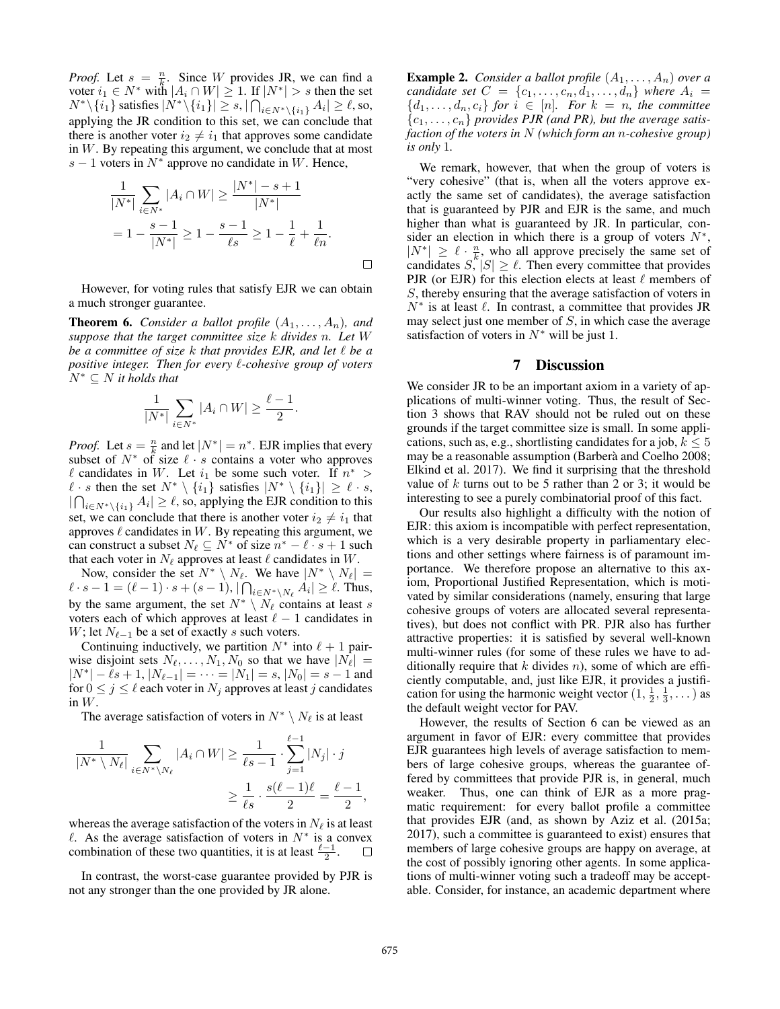*Proof.* Let  $s = \frac{n}{k}$ . Since W provides JR, we can find a voter  $i_1 \in N^*$  with  $|A_i \cap W| \geq 1$ . If  $|N^*| > s$  then the set  $N^*\setminus \{i_1\}$  satisfies  $|N^*\setminus \{i_1\}| \geq s, |\bigcap_{i \in N^*\setminus \{i_1\}} A_i| \geq \ell$ , so, applying the JR condition to this set, we can conclude that there is another voter  $i_2 \neq i_1$  that approves some candidate in W. By repeating this argument, we conclude that at most s – 1 voters in  $N^*$  approve no candidate in W. Hence,

$$
\frac{1}{|N^*|} \sum_{i \in N^*} |A_i \cap W| \ge \frac{|N^*| - s + 1}{|N^*|}
$$
  
=  $1 - \frac{s - 1}{|N^*|} \ge 1 - \frac{s - 1}{\ell s} \ge 1 - \frac{1}{\ell} + \frac{1}{\ell n}.$ 

However, for voting rules that satisfy EJR we can obtain a much stronger guarantee.

**Theorem 6.** *Consider a ballot profile*  $(A_1, \ldots, A_n)$ *, and suppose that the target committee size* k *divides* n*. Let* W *be a committee of size* k *that provides EJR, and let be a positive integer. Then for every*  $\ell$ *-cohesive group of voters* <sup>N</sup><sup>∗</sup> <sup>⊆</sup> <sup>N</sup> *it holds that*

$$
\frac{1}{|N^*|} \sum_{i \in N^*} |A_i \cap W| \geq \frac{\ell-1}{2}.
$$

*Proof.* Let  $s = \frac{n}{k}$  and let  $|N^*| = n^*$ . EJR implies that every subset of  $N^*$  of size  $\ell \cdot s$  contains a voter who approves l candidates in W. Let  $i_1$  be some such voter. If  $n^*$  >  $\ell \cdot s$  then the set  $N^* \setminus \{i_1\}$  satisfies  $|N^* \setminus \{i_1\}| \ge \ell \cdot s$ ,  $|\bigcap_{i\in N^*\setminus\{i_1\}} A_i| \geq \ell$ , so, applying the EJR condition to this set, we can conclude that there is another voter  $i_2 \neq i_1$  that approves  $\ell$  candidates in  $W$ . By repeating this argument, we can construct a subset  $N_\ell \subseteq N^*$  of size  $n^* - \ell \cdot s + 1$  such that each voter in  $N_{\ell}$  approves at least  $\ell$  candidates in W.

Now, consider the set  $N^* \setminus N_\ell$ . We have  $|N^* \setminus N_\ell|$  =  $\ell \cdot s - 1 = (\ell - 1) \cdot s + (s - 1), |\bigcap_{i \in N^* \setminus N_\ell} A_i| \ge \ell$ . Thus, by the same argument, the set  $N^* \setminus N_\ell$  contains at least s voters each of which approves at least  $\ell - 1$  candidates in W; let  $N_{\ell-1}$  be a set of exactly s such voters.

Continuing inductively, we partition  $N^*$  into  $\ell + 1$  pairwise disjoint sets  $N_{\ell}, \ldots, N_1, N_0$  so that we have  $|N_{\ell}| =$  $|N^*| - \ell s + 1, |N_{\ell-1}| = \cdots = |N_1| = s, |N_0| = s - 1$  and for  $0 \le j \le \ell$  each voter in  $N_j$  approves at least j candidates in  $W$ .

The average satisfaction of voters in  $N^* \setminus N_\ell$  is at least

$$
\frac{1}{|N^* \setminus N_{\ell}|} \sum_{i \in N^* \setminus N_{\ell}} |A_i \cap W| \ge \frac{1}{\ell s - 1} \cdot \sum_{j=1}^{\ell-1} |N_j| \cdot j
$$
  

$$
\ge \frac{1}{\ell s} \cdot \frac{s(\ell-1)\ell}{2} = \frac{\ell-1}{2},
$$

whereas the average satisfaction of the voters in  $N_{\ell}$  is at least  $\ell$ . As the average satisfaction of voters in  $N^*$  is a convex combination of these two quantities, it is at least  $\frac{\ell-1}{2}$ .  $\Box$ 

In contrast, the worst-case guarantee provided by PJR is not any stronger than the one provided by JR alone.

**Example 2.** *Consider a ballot profile*  $(A_1, \ldots, A_n)$  *over a candidate set*  $C = \{c_1, \ldots, c_n, d_1, \ldots, d_n\}$  *where*  $A_i =$  ${d_1, \ldots, d_n, c_i}$  *for*  $i \in [n]$ *. For*  $k = n$ *, the committee*  $\{c_1,\ldots,c_n\}$  *provides PJR (and PR), but the average satisfaction of the voters in* N *(which form an* n*-cohesive group) is only* 1*.*

We remark, however, that when the group of voters is "very cohesive" (that is, when all the voters approve exactly the same set of candidates), the average satisfaction that is guaranteed by PJR and EJR is the same, and much higher than what is guaranteed by JR. In particular, consider an election in which there is a group of voters  $N^*$ ,  $|N^*| \geq \ell \cdot \frac{n}{k}$ , who all approve precisely the same set of candidates  $S, |S| \geq \ell$ . Then every committee that provides PJR (or EJR) for this election elects at least  $\ell$  members of S, thereby ensuring that the average satisfaction of voters in  $N^*$  is at least  $\ell$ . In contrast, a committee that provides JR may select just one member of  $S$ , in which case the average satisfaction of voters in  $N^*$  will be just 1.

## 7 Discussion

We consider JR to be an important axiom in a variety of applications of multi-winner voting. Thus, the result of Section 3 shows that RAV should not be ruled out on these grounds if the target committee size is small. In some applications, such as, e.g., shortlisting candidates for a job,  $k \leq 5$ may be a reasonable assumption (Barberà and Coelho 2008; Elkind et al. 2017). We find it surprising that the threshold value of  $k$  turns out to be 5 rather than 2 or 3; it would be interesting to see a purely combinatorial proof of this fact.

Our results also highlight a difficulty with the notion of EJR: this axiom is incompatible with perfect representation, which is a very desirable property in parliamentary elections and other settings where fairness is of paramount importance. We therefore propose an alternative to this axiom, Proportional Justified Representation, which is motivated by similar considerations (namely, ensuring that large cohesive groups of voters are allocated several representatives), but does not conflict with PR. PJR also has further attractive properties: it is satisfied by several well-known multi-winner rules (for some of these rules we have to additionally require that  $k$  divides  $n$ ), some of which are efficiently computable, and, just like EJR, it provides a justification for using the harmonic weight vector  $(1, \frac{1}{2}, \frac{1}{3}, \dots)$  as the default weight vector for PAV.

However, the results of Section 6 can be viewed as an argument in favor of EJR: every committee that provides EJR guarantees high levels of average satisfaction to members of large cohesive groups, whereas the guarantee offered by committees that provide PJR is, in general, much weaker. Thus, one can think of EJR as a more pragmatic requirement: for every ballot profile a committee that provides EJR (and, as shown by Aziz et al. (2015a; 2017), such a committee is guaranteed to exist) ensures that members of large cohesive groups are happy on average, at the cost of possibly ignoring other agents. In some applications of multi-winner voting such a tradeoff may be acceptable. Consider, for instance, an academic department where